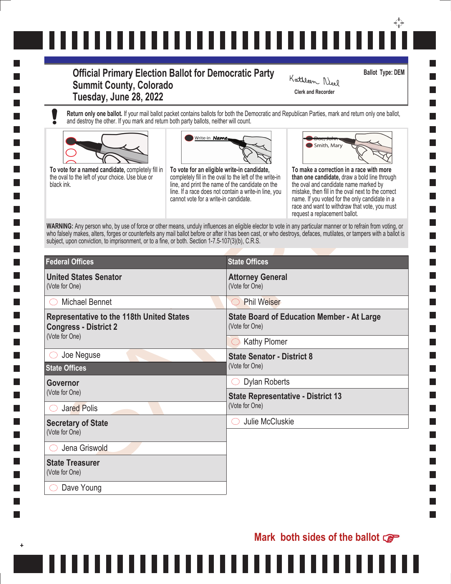## ↔ ,,,,,,,,,,,,,,,,,,,,,,,,,,,

## **Official Primary Election Ballot for Democratic Party Summit County, Colorado Tuesday, June 28, 2022** Clerk and Recorder

**Ballot Type: DEM**

Kathleen Neel

**Return only one ballot.** If your mail ballot packet contains ballots for both the Democratic and Republican Parties, mark and return only one ballot, and destroy the other. If you mark and return both party ballots, neither will count.



,,,,,,,





| To vote for a named candidate, completely fill in<br>the oval to the left of your choice. Use blue or<br>black ink.<br>subject, upon conviction, to imprisonment, or to a fine, or both. Section 1-7.5-107(3)(b), C.R.S. | Write-in Name,<br>Smith, Mary<br>To vote for an eligible write-in candidate,<br>To make a correction in a race with more<br>completely fill in the oval to the left of the write-in<br>than one candidate, draw a bold line through<br>line, and print the name of the candidate on the<br>the oval and candidate name marked by<br>line. If a race does not contain a write-in line, you<br>mistake, then fill in the oval next to the correct<br>cannot vote for a write-in candidate.<br>name. If you voted for the only candidate in a<br>race and want to withdraw that vote, you must<br>request a replacement ballot.<br>WARNING: Any person who, by use of force or other means, unduly influences an eligible elector to vote in any particular manner or to refrain from voting, or<br>who falsely makes, alters, forges or counterfeits any mail ballot before or after it has been cast, or who destroys, defaces, mutilates, or tampers with a ballot is |
|--------------------------------------------------------------------------------------------------------------------------------------------------------------------------------------------------------------------------|-----------------------------------------------------------------------------------------------------------------------------------------------------------------------------------------------------------------------------------------------------------------------------------------------------------------------------------------------------------------------------------------------------------------------------------------------------------------------------------------------------------------------------------------------------------------------------------------------------------------------------------------------------------------------------------------------------------------------------------------------------------------------------------------------------------------------------------------------------------------------------------------------------------------------------------------------------------------------|
| <b>Federal Offices</b>                                                                                                                                                                                                   | <b>State Offices</b>                                                                                                                                                                                                                                                                                                                                                                                                                                                                                                                                                                                                                                                                                                                                                                                                                                                                                                                                                  |
| <b>United States Senator</b><br>(Vote for One)                                                                                                                                                                           | <b>Attorney General</b><br>(Vote for One)                                                                                                                                                                                                                                                                                                                                                                                                                                                                                                                                                                                                                                                                                                                                                                                                                                                                                                                             |
| <b>Michael Bennet</b>                                                                                                                                                                                                    | <b>Phil Weiser</b><br>$( \ )$                                                                                                                                                                                                                                                                                                                                                                                                                                                                                                                                                                                                                                                                                                                                                                                                                                                                                                                                         |
| <b>Representative to the 118th United States</b><br><b>Congress - District 2</b><br>(Vote for One)                                                                                                                       | <b>State Board of Education Member - At Large</b><br>(Vote for One)                                                                                                                                                                                                                                                                                                                                                                                                                                                                                                                                                                                                                                                                                                                                                                                                                                                                                                   |
|                                                                                                                                                                                                                          | $\bigcirc$ Kathy Plomer                                                                                                                                                                                                                                                                                                                                                                                                                                                                                                                                                                                                                                                                                                                                                                                                                                                                                                                                               |
| Joe Neguse<br><b>State Offices</b>                                                                                                                                                                                       | <b>State Senator - District 8</b><br>(Vote for One)                                                                                                                                                                                                                                                                                                                                                                                                                                                                                                                                                                                                                                                                                                                                                                                                                                                                                                                   |
| Governor                                                                                                                                                                                                                 | <b>Dylan Roberts</b>                                                                                                                                                                                                                                                                                                                                                                                                                                                                                                                                                                                                                                                                                                                                                                                                                                                                                                                                                  |
| (Vote for One)<br><b>Jared Polis</b>                                                                                                                                                                                     | <b>State Representative - District 13</b><br>(Vote for One)                                                                                                                                                                                                                                                                                                                                                                                                                                                                                                                                                                                                                                                                                                                                                                                                                                                                                                           |
| <b>Secretary of State</b><br>(Vote for One)                                                                                                                                                                              | Julie McCluskie                                                                                                                                                                                                                                                                                                                                                                                                                                                                                                                                                                                                                                                                                                                                                                                                                                                                                                                                                       |
| Jena Griswold                                                                                                                                                                                                            |                                                                                                                                                                                                                                                                                                                                                                                                                                                                                                                                                                                                                                                                                                                                                                                                                                                                                                                                                                       |
|                                                                                                                                                                                                                          |                                                                                                                                                                                                                                                                                                                                                                                                                                                                                                                                                                                                                                                                                                                                                                                                                                                                                                                                                                       |
| <b>State Treasurer</b><br>(Vote for One)                                                                                                                                                                                 |                                                                                                                                                                                                                                                                                                                                                                                                                                                                                                                                                                                                                                                                                                                                                                                                                                                                                                                                                                       |

. . . . .

n a